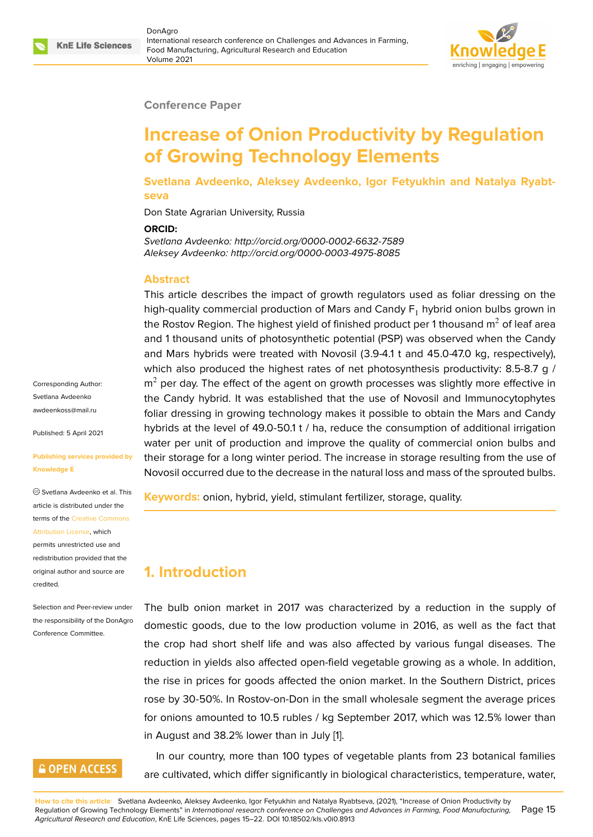#### **Conference Paper**

# **Increase of Onion Productivity by Regulation of Growing Technology Elements**

**Svetlana Avdeenko, Aleksey Avdeenko, Igor Fetyukhin and Natalya Ryabtseva**

Don State Agrarian University, Russia

#### **ORCID:**

*Svetlana Avdeenko: http://orcid.org/0000-0002-6632-7589 Aleksey Avdeenko: http://orcid.org/0000-0003-4975-8085*

#### **Abstract**

This article describes the impact of growth regulators used as foliar dressing on the high-quality commercial production of Mars and Candy  $F_1$  hybrid onion bulbs grown in the Rostov Region. The highest yield of finished product per 1 thousand  $m<sup>2</sup>$  of leaf area and 1 thousand units of photosynthetic potential (PSP) was observed when the Candy and Mars hybrids were treated with Novosil (3.9-4.1 t and 45.0-47.0 kg, respectively), which also produced the highest rates of net photosynthesis productivity: 8.5-8.7 g /  $m<sup>2</sup>$  per day. The effect of the agent on growth processes was slightly more effective in the Candy hybrid. It was established that the use of Novosil and Immunocytophytes foliar dressing in growing technology makes it possible to obtain the Mars and Candy hybrids at the level of 49.0-50.1 t / ha, reduce the consumption of additional irrigation water per unit of production and improve the quality of commercial onion bulbs and their storage for a long winter period. The increase in storage resulting from the use of Novosil occurred due to the decrease in the natural loss and mass of the sprouted bulbs.

**Keywords:** onion, hybrid, yield, stimulant fertilizer, storage, quality.

## **1. Introduction**

The bulb onion market in 2017 was characterized by a reduction in the supply of domestic goods, due to the low production volume in 2016, as well as the fact that the crop had short shelf life and was also affected by various fungal diseases. The reduction in yields also affected open-field vegetable growing as a whole. In addition, the rise in prices for goods affected the onion market. In the Southern District, prices rose by 30-50%. In Rostov-on-Don in the small wholesale segment the average prices for onions amounted to 10.5 rubles / kg September 2017, which was 12.5% lower than in August and 38.2% lower than in July [1].

In our country, more than 100 types of vegetable plants from 23 botanical families are cultivated, which differ significantly in biological characteristics, temperature, water,

Corresponding Author: Svetlana Avdeenko awdeenkoss@mail.ru

Published: 5 April 2021

#### **[Publishing services p](mailto:awdeenkoss@mail.ru)rovided by Knowledge E**

Svetlana Avdeenko et al. This article is distributed under the terms of the Creative Commons Attribution License, which

permits unrestricted use and redistribution provided that the original auth[or and source are](https://creativecommons.org/licenses/by/4.0/) [credited.](https://creativecommons.org/licenses/by/4.0/)

Selection and Peer-review under the responsibility of the DonAgro Conference Committee.

### **GOPEN ACCESS**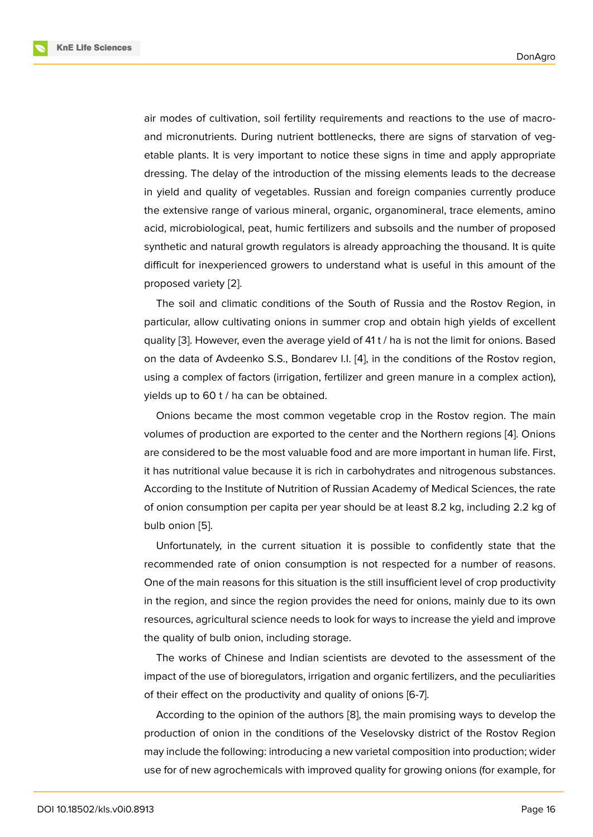air modes of cultivation, soil fertility requirements and reactions to the use of macroand micronutrients. During nutrient bottlenecks, there are signs of starvation of vegetable plants. It is very important to notice these signs in time and apply appropriate dressing. The delay of the introduction of the missing elements leads to the decrease in yield and quality of vegetables. Russian and foreign companies currently produce the extensive range of various mineral, organic, organomineral, trace elements, amino acid, microbiological, peat, humic fertilizers and subsoils and the number of proposed synthetic and natural growth regulators is already approaching the thousand. It is quite difficult for inexperienced growers to understand what is useful in this amount of the proposed variety [2].

The soil and climatic conditions of the South of Russia and the Rostov Region, in particular, allow cultivating onions in summer crop and obtain high yields of excellent quality [3]. Howev[er](#page-7-0), even the average yield of 41 t / ha is not the limit for onions. Based on the data of Avdeenko S.S., Bondarev I.I. [4], in the conditions of the Rostov region, using a complex of factors (irrigation, fertilizer and green manure in a complex action), yields u[p](#page-7-1) to 60 t / ha can be obtained.

Onions became the most common veget[ab](#page-7-2)le crop in the Rostov region. The main volumes of production are exported to the center and the Northern regions [4]. Onions are considered to be the most valuable food and are more important in human life. First, it has nutritional value because it is rich in carbohydrates and nitrogenous substances. According to the Institute of Nutrition of Russian Academy of Medical Scienc[es](#page-7-2), the rate of onion consumption per capita per year should be at least 8.2 kg, including 2.2 kg of bulb onion [5].

Unfortunately, in the current situation it is possible to confidently state that the recommended rate of onion consumption is not respected for a number of reasons. One of the [ma](#page-7-3)in reasons for this situation is the still insufficient level of crop productivity in the region, and since the region provides the need for onions, mainly due to its own resources, agricultural science needs to look for ways to increase the yield and improve the quality of bulb onion, including storage.

The works of Chinese and Indian scientists are devoted to the assessment of the impact of the use of bioregulators, irrigation and organic fertilizers, and the peculiarities of their effect on the productivity and quality of onions [6-7].

According to the opinion of the authors [8], the main promising ways to develop the production of onion in the conditions of the Veselovsky district of the Rostov Region may include the following: introducing a new varietal composition into production; wider use for of new agrochemicals with improve[d q](#page-7-4)uality for growing onions (for example, for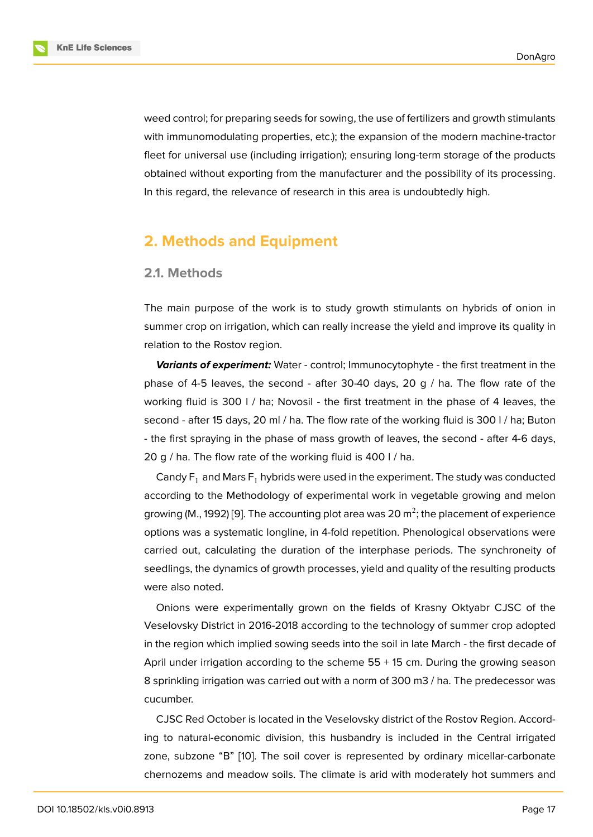weed control; for preparing seeds for sowing, the use of fertilizers and growth stimulants with immunomodulating properties, etc.); the expansion of the modern machine-tractor fleet for universal use (including irrigation); ensuring long-term storage of the products obtained without exporting from the manufacturer and the possibility of its processing. In this regard, the relevance of research in this area is undoubtedly high.

### **2. Methods and Equipment**

#### **2.1. Methods**

The main purpose of the work is to study growth stimulants on hybrids of onion in summer crop on irrigation, which can really increase the yield and improve its quality in relation to the Rostov region.

*Variants of experiment:* Water - control; Immunocytophyte - the first treatment in the phase of 4-5 leaves, the second - after 30-40 days, 20  $q / ha$ . The flow rate of the working fluid is 300 l / ha; Novosil - the first treatment in the phase of 4 leaves, the second - after 15 days, 20 ml / ha. The flow rate of the working fluid is 300 l / ha; Buton - the first spraying in the phase of mass growth of leaves, the second - after 4-6 days, 20 g / ha. The flow rate of the working fluid is 400 l / ha.

Candy  $F_1$  and Mars  $F_1$  hybrids were used in the experiment. The study was conducted according to the Methodology of experimental work in vegetable growing and melon growing (M., 1992) [9]. The accounting plot area was 20  $\mathrm{m}^2$ ; the placement of experience options was a systematic longline, in 4-fold repetition. Phenological observations were carried out, calculating the duration of the interphase periods. The synchroneity of seedlings, the dyn[am](#page-7-5)ics of growth processes, yield and quality of the resulting products were also noted.

Onions were experimentally grown on the fields of Krasny Oktyabr CJSC of the Veselovsky District in 2016-2018 according to the technology of summer crop adopted in the region which implied sowing seeds into the soil in late March - the first decade of April under irrigation according to the scheme  $55 + 15$  cm. During the growing season 8 sprinkling irrigation was carried out with a norm of 300 m3 / ha. The predecessor was cucumber.

CJSC Red October is located in the Veselovsky district of the Rostov Region. According to natural-economic division, this husbandry is included in the Central irrigated zone, subzone "B" [10]. The soil cover is represented by ordinary micellar-carbonate chernozems and meadow soils. The climate is arid with moderately hot summers and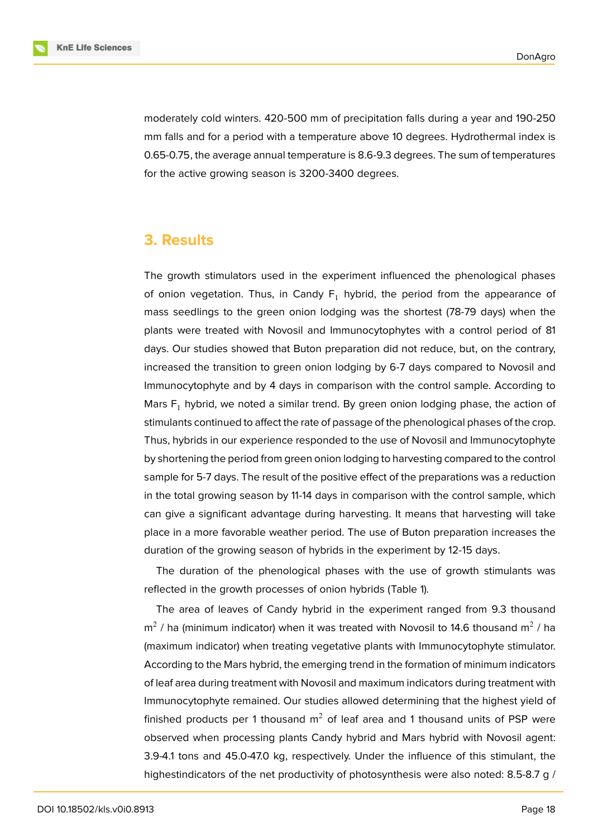moderately cold winters. 420-500 mm of precipitation falls during a year and 190-250 mm falls and for a period with a temperature above 10 degrees. Hydrothermal index is 0.65-0.75, the average annual temperature is 8.6-9.3 degrees. The sum of temperatures for the active growing season is 3200-3400 degrees.

### **3. Results**

The growth stimulators used in the experiment influenced the phenological phases of onion vegetation. Thus, in Candy  $F_1$  hybrid, the period from the appearance of mass seedlings to the green onion lodging was the shortest (78-79 days) when the plants were treated with Novosil and Immunocytophytes with a control period of 81 days. Our studies showed that Buton preparation did not reduce, but, on the contrary, increased the transition to green onion lodging by 6-7 days compared to Novosil and Immunocytophyte and by 4 days in comparison with the control sample. According to Mars  $F_1$  hybrid, we noted a similar trend. By green onion lodging phase, the action of stimulants continued to affect the rate of passage of the phenological phases of the crop. Thus, hybrids in our experience responded to the use of Novosil and Immunocytophyte by shortening the period from green onion lodging to harvesting compared to the control sample for 5-7 days. The result of the positive effect of the preparations was a reduction in the total growing season by 11-14 days in comparison with the control sample, which can give a significant advantage during harvesting. It means that harvesting will take place in a more favorable weather period. The use of Buton preparation increases the duration of the growing season of hybrids in the experiment by 12-15 days.

The duration of the phenological phases with the use of growth stimulants was reflected in the growth processes of onion hybrids (Table 1).

The area of leaves of Candy hybrid in the experiment ranged from 9.3 thousand  $\textsf{m}^{2}$  / ha (minimum indicator) when it was treated with Novosil to 14.6 thousand  $\textsf{m}^{2}$  / ha (maximum indicator) when treating vegetative plants with Immunocytophyte stimulator. According to the Mars hybrid, the emerging trend in the formation of minimum indicators of leaf area during treatment with Novosil and maximum indicators during treatment with Immunocytophyte remained. Our studies allowed determining that the highest yield of finished products per 1 thousand  $m^2$  of leaf area and 1 thousand units of PSP were observed when processing plants Candy hybrid and Mars hybrid with Novosil agent: 3.9-4.1 tons and 45.0-47.0 kg, respectively. Under the influence of this stimulant, the highestindicators of the net productivity of photosynthesis were also noted: 8.5-8.7 g /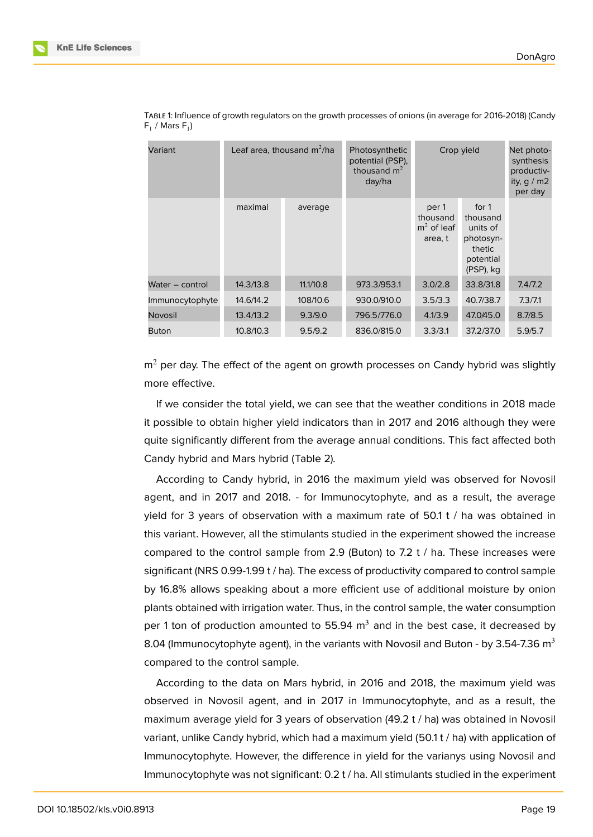| Variant         | Leaf area, thousand $m^2/ha$ |           | Photosynthetic<br>potential (PSP),<br>thousand $m2$<br>day/ha | Crop yield                                   |                                                                                | Net photo-<br>synthesis<br>productiv-<br>ity, $q/m2$<br>per day |
|-----------------|------------------------------|-----------|---------------------------------------------------------------|----------------------------------------------|--------------------------------------------------------------------------------|-----------------------------------------------------------------|
|                 | maximal                      | average   |                                                               | per 1<br>thousand<br>$m2$ of leaf<br>area, t | for 1<br>thousand<br>units of<br>photosyn-<br>thetic<br>potential<br>(PSP), kg |                                                                 |
| Water – control | 14.3/13.8                    | 11.1/10.8 | 973.3/953.1                                                   | 3.0/2.8                                      | 33.8/31.8                                                                      | 7.4/7.2                                                         |
| Immunocytophyte | 14.6/14.2                    | 108/10.6  | 930.0/910.0                                                   | 3.5/3.3                                      | 40.7/38.7                                                                      | 7.3/7.1                                                         |
| Novosil         | 13.4/13.2                    | 9.3/9.0   | 796.5/776.0                                                   | 4.1/3.9                                      | 47.0/45.0                                                                      | 8.7/8.5                                                         |
| <b>Buton</b>    | 10.8/10.3                    | 9.5/9.2   | 836.0/815.0                                                   | 3.3/3.1                                      | 37.2/37.0                                                                      | 5.9/5.7                                                         |

TABLE 1: Influence of growth regulators on the growth processes of onions (in average for 2016-2018) (Candy  $F_1$  / Mars  $F_1$ )

 $m<sup>2</sup>$  per day. The effect of the agent on growth processes on Candy hybrid was slightly more effective.

If we consider the total yield, we can see that the weather conditions in 2018 made it possible to obtain higher yield indicators than in 2017 and 2016 although they were quite significantly different from the average annual conditions. This fact affected both Candy hybrid and Mars hybrid (Table 2).

According to Candy hybrid, in 2016 the maximum yield was observed for Novosil agent, and in 2017 and 2018. - for Immunocytophyte, and as a result, the average yield for 3 years of observation with a maximum rate of 50.1 t / ha was obtained in this variant. However, all the stimulants studied in the experiment showed the increase compared to the control sample from 2.9 (Buton) to 7.2 t / ha. These increases were significant (NRS 0.99-1.99 t / ha). The excess of productivity compared to control sample by 16.8% allows speaking about a more efficient use of additional moisture by onion plants obtained with irrigation water. Thus, in the control sample, the water consumption per 1 ton of production amounted to 55.94  $\text{m}^{3}$  and in the best case, it decreased by 8.04 (Immunocytophyte agent), in the variants with Novosil and Buton - by 3.54-7.36  $m<sup>3</sup>$ compared to the control sample.

According to the data on Mars hybrid, in 2016 and 2018, the maximum yield was observed in Novosil agent, and in 2017 in Immunocytophyte, and as a result, the maximum average yield for 3 years of observation (49.2 t / ha) was obtained in Novosil variant, unlike Candy hybrid, which had a maximum yield (50.1 t / ha) with application of Immunocytophyte. However, the difference in yield for the varianys using Novosil and Immunocytophyte was not significant: 0.2 t / ha. All stimulants studied in the experiment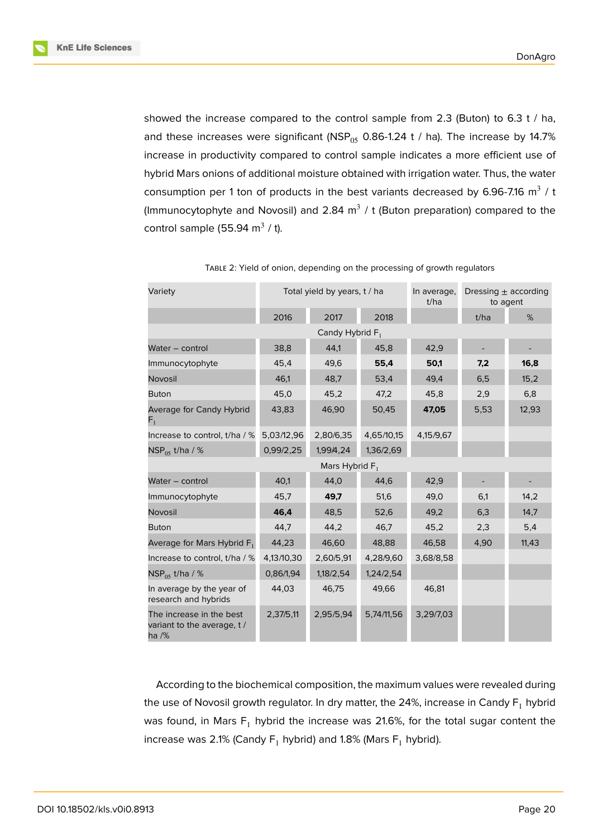

showed the increase compared to the control sample from 2.3 (Buton) to 6.3 t / ha, and these increases were significant (NSP $_{05}$  0.86-1.24 t / ha). The increase by 14.7% increase in productivity compared to control sample indicates a more efficient use of hybrid Mars onions of additional moisture obtained with irrigation water. Thus, the water consumption per 1 ton of products in the best variants decreased by 6.96-7.16  $m^3$  / t (Immunocytophyte and Novosil) and 2.84  $m^3$  / t (Buton preparation) compared to the control sample (55.94 m $^3$  / t).

| Variety                                                          | Total yield by years, t / ha |           |            | In average,<br>t/ha | Dressing $\pm$ according<br>to agent |       |  |  |  |  |  |
|------------------------------------------------------------------|------------------------------|-----------|------------|---------------------|--------------------------------------|-------|--|--|--|--|--|
|                                                                  | 2016                         | 2017      | 2018       |                     | t/ha                                 | %     |  |  |  |  |  |
| Candy Hybrid $F_1$                                               |                              |           |            |                     |                                      |       |  |  |  |  |  |
| Water - control                                                  | 38,8                         | 44,1      | 45,8       | 42,9                |                                      |       |  |  |  |  |  |
| Immunocytophyte                                                  | 45,4                         | 49,6      | 55,4       | 50,1                | 7,2                                  | 16,8  |  |  |  |  |  |
| Novosil                                                          | 46,1                         | 48,7      | 53,4       | 49,4                | 6,5                                  | 15,2  |  |  |  |  |  |
| <b>Buton</b>                                                     | 45,0                         | 45,2      | 47,2       | 45,8                | 2,9                                  | 6,8   |  |  |  |  |  |
| Average for Candy Hybrid<br>$\mathsf{F}_1^-$                     | 43,83                        | 46,90     | 50,45      | 47,05               | 5,53                                 | 12,93 |  |  |  |  |  |
| Increase to control, t/ha / %                                    | 5,03/12,96                   | 2,80/6,35 | 4,65/10,15 | 4,15/9,67           |                                      |       |  |  |  |  |  |
| $NSP_{05}$ t/ha / %                                              | 0,99/2,25                    | 1,99/4,24 | 1,36/2,69  |                     |                                      |       |  |  |  |  |  |
| Mars Hybrid $F_1$                                                |                              |           |            |                     |                                      |       |  |  |  |  |  |
| Water - control                                                  | 40,1                         | 44,0      | 44,6       | 42,9                |                                      |       |  |  |  |  |  |
| Immunocytophyte                                                  | 45,7                         | 49,7      | 51,6       | 49,0                | 6,1                                  | 14,2  |  |  |  |  |  |
| Novosil                                                          | 46,4                         | 48,5      | 52,6       | 49,2                | 6,3                                  | 14,7  |  |  |  |  |  |
| <b>Buton</b>                                                     | 44,7                         | 44,2      | 46,7       | 45,2                | 2,3                                  | 5,4   |  |  |  |  |  |
| Average for Mars Hybrid F <sub>1</sub>                           | 44,23                        | 46,60     | 48,88      | 46,58               | 4,90                                 | 11,43 |  |  |  |  |  |
| Increase to control, t/ha / %                                    | 4,13/10,30                   | 2,60/5,91 | 4,28/9,60  | 3,68/8,58           |                                      |       |  |  |  |  |  |
| $NSP_{05}$ t/ha / %                                              | 0,86/1,94                    | 1,18/2,54 | 1,24/2,54  |                     |                                      |       |  |  |  |  |  |
| In average by the year of<br>research and hybrids                | 44,03                        | 46,75     | 49,66      | 46,81               |                                      |       |  |  |  |  |  |
| The increase in the best<br>variant to the average, t /<br>ha /% | 2,37/5,11                    | 2,95/5,94 | 5,74/11,56 | 3,29/7,03           |                                      |       |  |  |  |  |  |

TABLE 2: Yield of onion, depending on the processing of growth regulators

According to the biochemical composition, the maximum values were revealed during the use of Novosil growth regulator. In dry matter, the 24%, increase in Candy  $F_1$  hybrid was found, in Mars  $F_1$  hybrid the increase was 21.6%, for the total sugar content the increase was 2.1% (Candy  $F_1$  hybrid) and 1.8% (Mars  $F_1$  hybrid).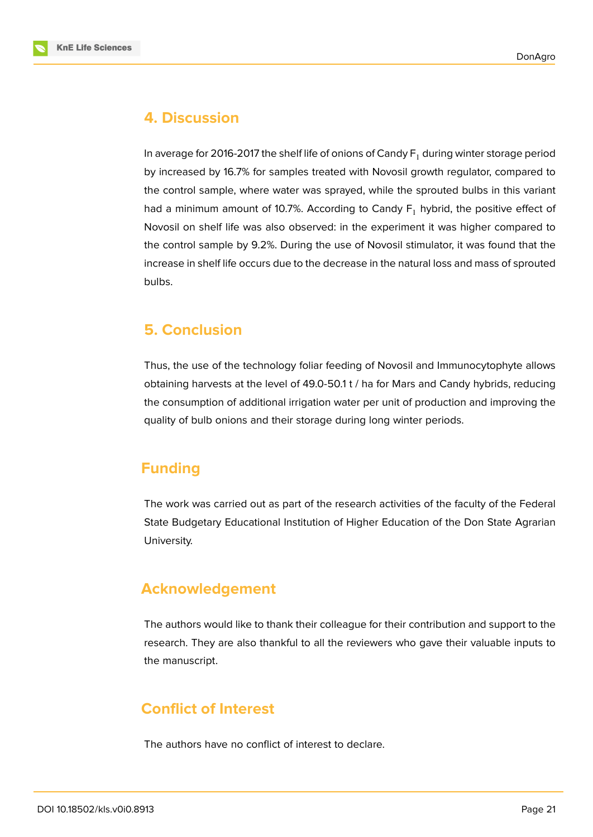



### **4. Discussion**

In average for 2016-2017 the shelf life of onions of Candy  $F_1$  during winter storage period by increased by 16.7% for samples treated with Novosil growth regulator, compared to the control sample, where water was sprayed, while the sprouted bulbs in this variant had a minimum amount of 10.7%. According to Candy  $F_1$  hybrid, the positive effect of Novosil on shelf life was also observed: in the experiment it was higher compared to the control sample by 9.2%. During the use of Novosil stimulator, it was found that the increase in shelf life occurs due to the decrease in the natural loss and mass of sprouted bulbs.

# **5. Conclusion**

Thus, the use of the technology foliar feeding of Novosil and Immunocytophyte allows obtaining harvests at the level of 49.0-50.1 t / ha for Mars and Candy hybrids, reducing the consumption of additional irrigation water per unit of production and improving the quality of bulb onions and their storage during long winter periods.

# **Funding**

The work was carried out as part of the research activities of the faculty of the Federal State Budgetary Educational Institution of Higher Education of the Don State Agrarian University.

# **Acknowledgement**

The authors would like to thank their colleague for their contribution and support to the research. They are also thankful to all the reviewers who gave their valuable inputs to the manuscript.

# **Conflict of Interest**

The authors have no conflict of interest to declare.